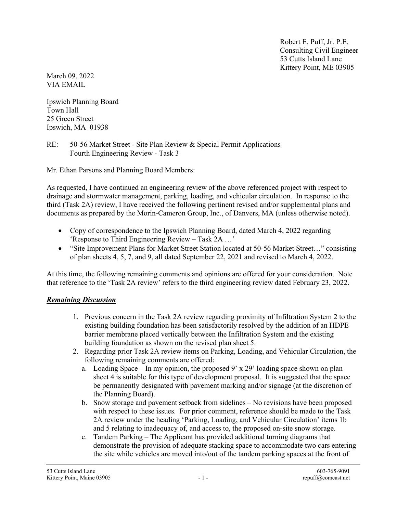Robert E. Puff, Jr. P.E. Consulting Civil Engineer 53 Cutts Island Lane Kittery Point, ME 03905

March 09, 2022 VIA EMAIL

Ipswich Planning Board Town Hall 25 Green Street Ipswich, MA 01938

RE: 50-56 Market Street - Site Plan Review & Special Permit Applications Fourth Engineering Review - Task 3

Mr. Ethan Parsons and Planning Board Members:

As requested, I have continued an engineering review of the above referenced project with respect to drainage and stormwater management, parking, loading, and vehicular circulation. In response to the third (Task 2A) review, I have received the following pertinent revised and/or supplemental plans and documents as prepared by the Morin-Cameron Group, Inc., of Danvers, MA (unless otherwise noted).

- Copy of correspondence to the Ipswich Planning Board, dated March 4, 2022 regarding 'Response to Third Engineering Review – Task 2A …'
- "Site Improvement Plans for Market Street Station located at 50-56 Market Street…" consisting of plan sheets 4, 5, 7, and 9, all dated September 22, 2021 and revised to March 4, 2022.

At this time, the following remaining comments and opinions are offered for your consideration. Note that reference to the 'Task 2A review' refers to the third engineering review dated February 23, 2022.

## Remaining Discussion

- 1. Previous concern in the Task 2A review regarding proximity of Infiltration System 2 to the existing building foundation has been satisfactorily resolved by the addition of an HDPE barrier membrane placed vertically between the Infiltration System and the existing building foundation as shown on the revised plan sheet 5.
- 2. Regarding prior Task 2A review items on Parking, Loading, and Vehicular Circulation, the following remaining comments are offered:
	- a. Loading Space In my opinion, the proposed 9' x 29' loading space shown on plan sheet 4 is suitable for this type of development proposal. It is suggested that the space be permanently designated with pavement marking and/or signage (at the discretion of the Planning Board).
	- b. Snow storage and pavement setback from sidelines No revisions have been proposed with respect to these issues. For prior comment, reference should be made to the Task 2A review under the heading 'Parking, Loading, and Vehicular Circulation' items 1b and 5 relating to inadequacy of, and access to, the proposed on-site snow storage.
	- c. Tandem Parking The Applicant has provided additional turning diagrams that demonstrate the provision of adequate stacking space to accommodate two cars entering the site while vehicles are moved into/out of the tandem parking spaces at the front of